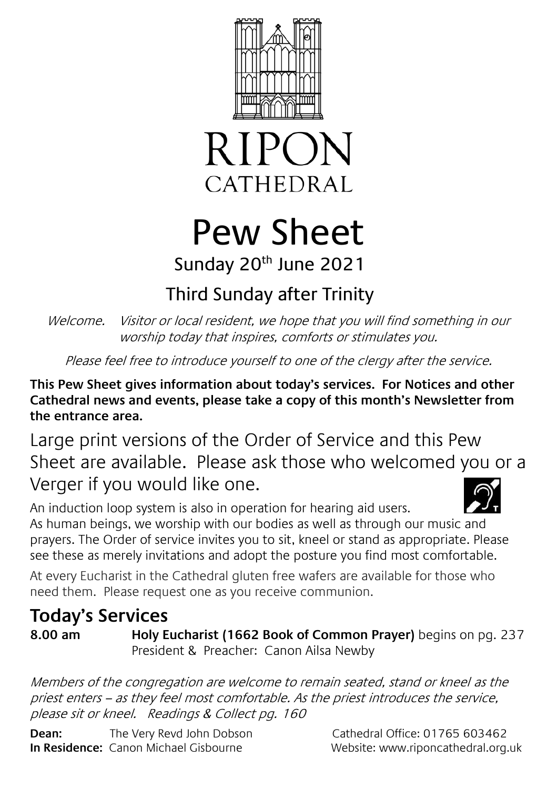



# Pew Sheet Sunday 20<sup>th</sup> June 2021

# Third Sunday after Trinity

Welcome. Visitor or local resident, we hope that you will find something in our worship today that inspires, comforts or stimulates you.

Please feel free to introduce yourself to one of the clergy after the service.

**This Pew Sheet gives information about today's services. For Notices and other Cathedral news and events, please take a copy of this month's Newsletter from the entrance area.** 

Large print versions of the Order of Service and this Pew Sheet are available. Please ask those who welcomed you or a Verger if you would like one.

An induction loop system is also in operation for hearing aid users. As human beings, we worship with our bodies as well as through our music and prayers. The Order of service invites you to sit, kneel or stand as appropriate. Please see these as merely invitations and adopt the posture you find most comfortable.

At every Eucharist in the Cathedral gluten free wafers are available for those who need them. Please request one as you receive communion.

# **Today's Services**

**8.00 am Holy Eucharist (1662 Book of Common Prayer)** begins on pg. 237 President & Preacher: Canon Ailsa Newby

Members of the congregation are welcome to remain seated, stand or kneel as the priest enters – as they feel most comfortable. As the priest introduces the service, please sit or kneel. Readings & Collect pg. 160

**Dean:** The Very Revd John Dobson Cathedral Office: 01765 603462 **In Residence:** Canon Michael Gisbourne Website: www.riponcathedral.org.uk